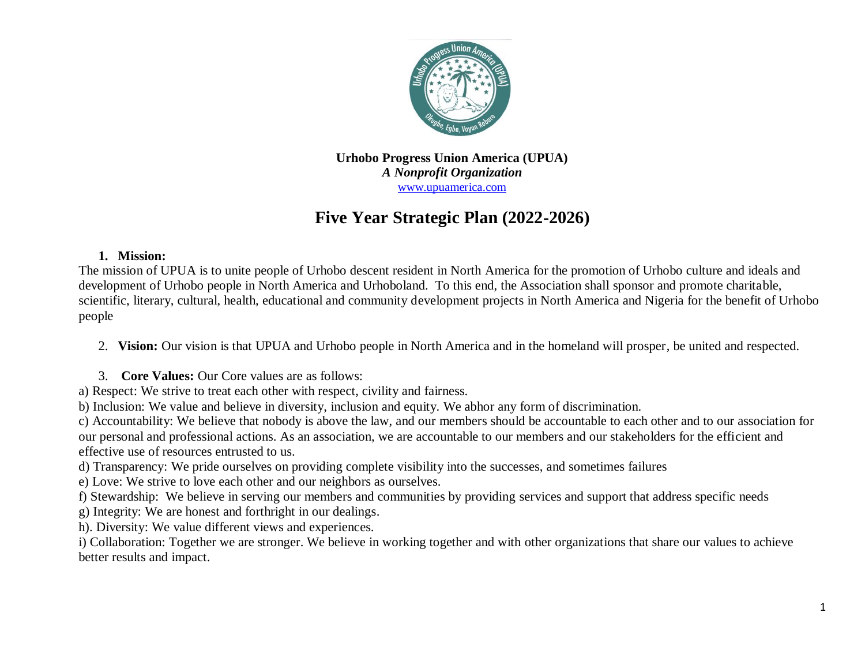

**Urhobo Progress Union America (UPUA)** *A Nonprofit Organization* [www.upuamerica.com](http://www.upuamerica.com/)

# **Five Year Strategic Plan (2022-2026)**

#### **1. Mission:**

The mission of UPUA is to unite people of Urhobo descent resident in North America for the promotion of Urhobo culture and ideals and development of Urhobo people in North America and Urhoboland. To this end, the Association shall sponsor and promote charitable, scientific, literary, cultural, health, educational and community development projects in North America and Nigeria for the benefit of Urhobo people

2. **Vision:** Our vision is that UPUA and Urhobo people in North America and in the homeland will prosper, be united and respected.

- 3. **Core Values:** Our Core values are as follows:
- a) Respect: We strive to treat each other with respect, civility and fairness.
- b) Inclusion: We value and believe in diversity, inclusion and equity. We abhor any form of discrimination.

c) Accountability: We believe that nobody is above the law, and our members should be accountable to each other and to our association for our personal and professional actions. As an association, we are accountable to our members and our stakeholders for the efficient and effective use of resources entrusted to us.

- d) Transparency: We pride ourselves on providing complete visibility into the successes, and sometimes failures
- e) Love: We strive to love each other and our neighbors as ourselves.
- f) Stewardship: We believe in serving our members and communities by providing services and support that address specific needs
- g) Integrity: We are honest and forthright in our dealings.
- h). Diversity: We value different views and experiences.
- i) Collaboration: Together we are stronger. We believe in working together and with other organizations that share our values to achieve better results and impact.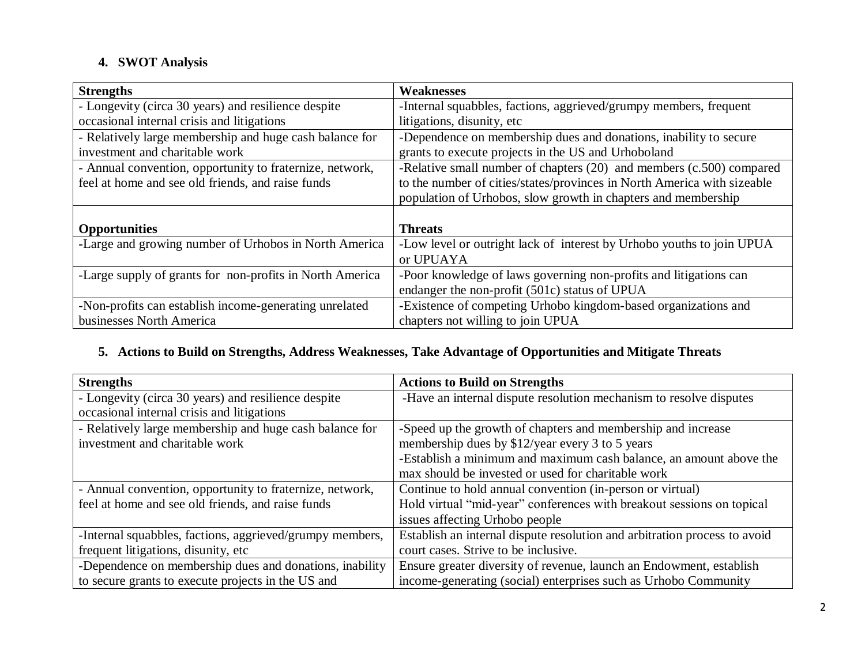## **4. SWOT Analysis**

| <b>Strengths</b>                                         | <b>Weaknesses</b>                                                       |
|----------------------------------------------------------|-------------------------------------------------------------------------|
| - Longevity (circa 30 years) and resilience despite      | -Internal squabbles, factions, aggrieved/grumpy members, frequent       |
| occasional internal crisis and litigations               | litigations, disunity, etc                                              |
| - Relatively large membership and huge cash balance for  | -Dependence on membership dues and donations, inability to secure       |
| investment and charitable work                           | grants to execute projects in the US and Urhoboland                     |
| - Annual convention, opportunity to fraternize, network, | -Relative small number of chapters (20) and members (c.500) compared    |
| feel at home and see old friends, and raise funds        | to the number of cities/states/provinces in North America with sizeable |
|                                                          | population of Urhobos, slow growth in chapters and membership           |
|                                                          |                                                                         |
| <b>Opportunities</b>                                     | <b>Threats</b>                                                          |
| -Large and growing number of Urhobos in North America    | -Low level or outright lack of interest by Urhobo youths to join UPUA   |
|                                                          | or UPUAYA                                                               |
| -Large supply of grants for non-profits in North America | -Poor knowledge of laws governing non-profits and litigations can       |
|                                                          | endanger the non-profit (501c) status of UPUA                           |
| -Non-profits can establish income-generating unrelated   | -Existence of competing Urhobo kingdom-based organizations and          |
| businesses North America                                 | chapters not willing to join UPUA                                       |

#### **5. Actions to Build on Strengths, Address Weaknesses, Take Advantage of Opportunities and Mitigate Threats**

| <b>Strengths</b>                                         | <b>Actions to Build on Strengths</b>                                      |
|----------------------------------------------------------|---------------------------------------------------------------------------|
| - Longevity (circa 30 years) and resilience despite      | -Have an internal dispute resolution mechanism to resolve disputes        |
| occasional internal crisis and litigations               |                                                                           |
| - Relatively large membership and huge cash balance for  | -Speed up the growth of chapters and membership and increase              |
| investment and charitable work                           | membership dues by \$12/year every 3 to 5 years                           |
|                                                          | -Establish a minimum and maximum cash balance, an amount above the        |
|                                                          | max should be invested or used for charitable work                        |
| - Annual convention, opportunity to fraternize, network, | Continue to hold annual convention (in-person or virtual)                 |
| feel at home and see old friends, and raise funds        | Hold virtual "mid-year" conferences with breakout sessions on topical     |
|                                                          | issues affecting Urhobo people                                            |
| -Internal squabbles, factions, aggrieved/grumpy members, | Establish an internal dispute resolution and arbitration process to avoid |
| frequent litigations, disunity, etc                      | court cases. Strive to be inclusive.                                      |
| -Dependence on membership dues and donations, inability  | Ensure greater diversity of revenue, launch an Endowment, establish       |
| to secure grants to execute projects in the US and       | income-generating (social) enterprises such as Urhobo Community           |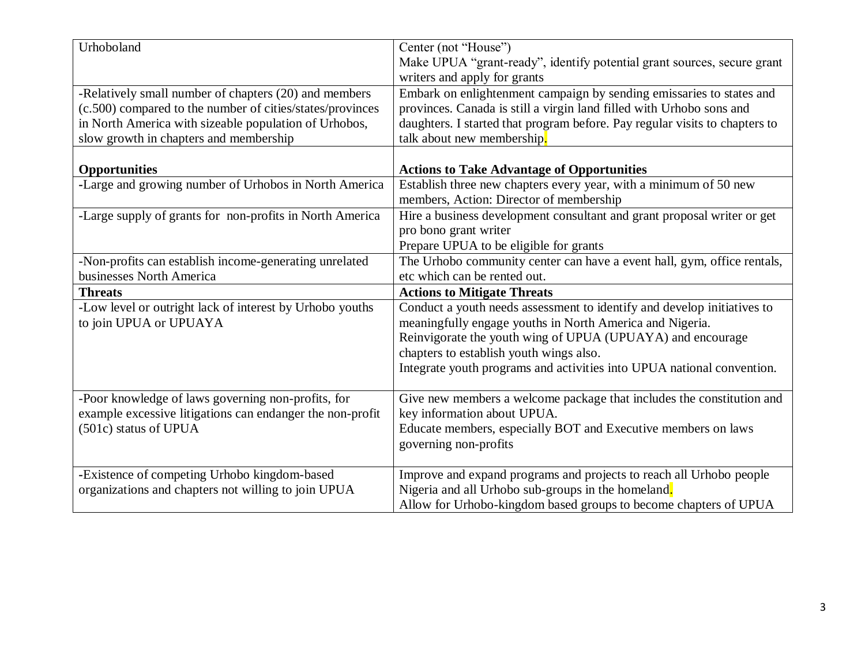| Urhoboland                                                | Center (not "House")                                                        |  |  |  |
|-----------------------------------------------------------|-----------------------------------------------------------------------------|--|--|--|
|                                                           | Make UPUA "grant-ready", identify potential grant sources, secure grant     |  |  |  |
|                                                           | writers and apply for grants                                                |  |  |  |
| -Relatively small number of chapters (20) and members     | Embark on enlightenment campaign by sending emissaries to states and        |  |  |  |
| (c.500) compared to the number of cities/states/provinces | provinces. Canada is still a virgin land filled with Urhobo sons and        |  |  |  |
| in North America with sizeable population of Urhobos,     | daughters. I started that program before. Pay regular visits to chapters to |  |  |  |
| slow growth in chapters and membership                    | talk about new membership.                                                  |  |  |  |
|                                                           |                                                                             |  |  |  |
| <b>Opportunities</b>                                      | <b>Actions to Take Advantage of Opportunities</b>                           |  |  |  |
| -Large and growing number of Urhobos in North America     | Establish three new chapters every year, with a minimum of 50 new           |  |  |  |
|                                                           | members, Action: Director of membership                                     |  |  |  |
| -Large supply of grants for non-profits in North America  | Hire a business development consultant and grant proposal writer or get     |  |  |  |
|                                                           | pro bono grant writer                                                       |  |  |  |
|                                                           | Prepare UPUA to be eligible for grants                                      |  |  |  |
| -Non-profits can establish income-generating unrelated    | The Urhobo community center can have a event hall, gym, office rentals,     |  |  |  |
| businesses North America                                  | etc which can be rented out.                                                |  |  |  |
| <b>Threats</b>                                            | <b>Actions to Mitigate Threats</b>                                          |  |  |  |
| -Low level or outright lack of interest by Urhobo youths  | Conduct a youth needs assessment to identify and develop initiatives to     |  |  |  |
| to join UPUA or UPUAYA                                    | meaningfully engage youths in North America and Nigeria.                    |  |  |  |
|                                                           | Reinvigorate the youth wing of UPUA (UPUAYA) and encourage                  |  |  |  |
|                                                           | chapters to establish youth wings also.                                     |  |  |  |
|                                                           | Integrate youth programs and activities into UPUA national convention.      |  |  |  |
|                                                           |                                                                             |  |  |  |
| -Poor knowledge of laws governing non-profits, for        | Give new members a welcome package that includes the constitution and       |  |  |  |
| example excessive litigations can endanger the non-profit | key information about UPUA.                                                 |  |  |  |
| (501c) status of UPUA                                     | Educate members, especially BOT and Executive members on laws               |  |  |  |
|                                                           | governing non-profits                                                       |  |  |  |
|                                                           |                                                                             |  |  |  |
| -Existence of competing Urhobo kingdom-based              | Improve and expand programs and projects to reach all Urhobo people         |  |  |  |
| organizations and chapters not willing to join UPUA       | Nigeria and all Urhobo sub-groups in the homeland.                          |  |  |  |
|                                                           | Allow for Urhobo-kingdom based groups to become chapters of UPUA            |  |  |  |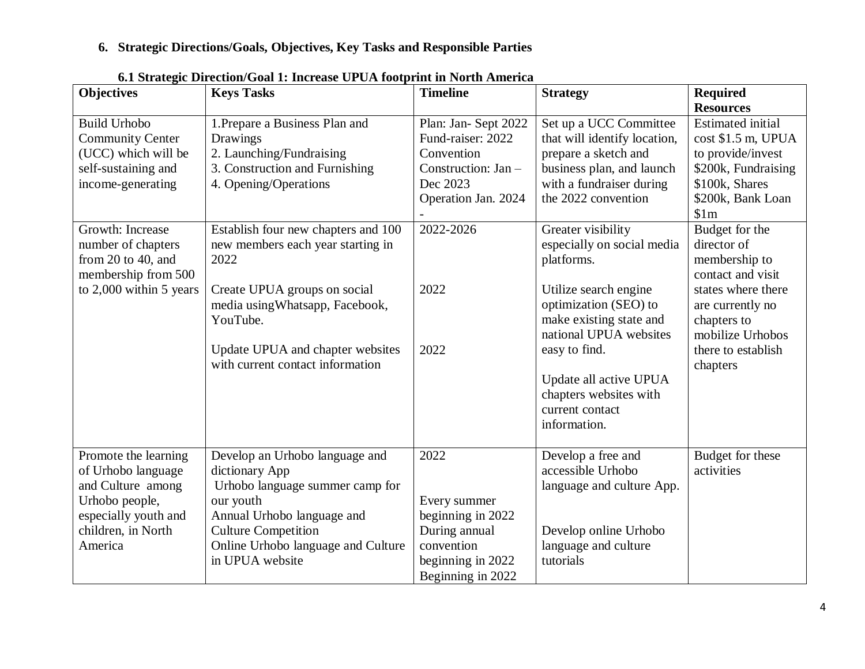## **6. Strategic Directions/Goals, Objectives, Key Tasks and Responsible Parties**

| <b>Objectives</b>       | <b>Keys Tasks</b>                          | <b>Timeline</b>                          | <b>Strategy</b>              | <b>Required</b>          |
|-------------------------|--------------------------------------------|------------------------------------------|------------------------------|--------------------------|
|                         |                                            |                                          |                              | <b>Resources</b>         |
| <b>Build Urhobo</b>     | 1. Prepare a Business Plan and<br>Drawings | Plan: Jan-Sept 2022<br>Fund-raiser: 2022 | Set up a UCC Committee       | <b>Estimated</b> initial |
| <b>Community Center</b> |                                            | Convention                               | that will identify location, | cost \$1.5 m, UPUA       |
| (UCC) which will be     | 2. Launching/Fundraising                   |                                          | prepare a sketch and         | to provide/invest        |
| self-sustaining and     | 3. Construction and Furnishing             | Construction: Jan -                      | business plan, and launch    | \$200k, Fundraising      |
| income-generating       | 4. Opening/Operations                      | Dec 2023                                 | with a fundraiser during     | \$100k, Shares           |
|                         |                                            | Operation Jan. 2024                      | the 2022 convention          | \$200k, Bank Loan        |
|                         |                                            |                                          |                              | \$1m                     |
| Growth: Increase        | Establish four new chapters and 100        | 2022-2026                                | Greater visibility           | Budget for the           |
| number of chapters      | new members each year starting in          |                                          | especially on social media   | director of              |
| from 20 to 40, and      | 2022                                       |                                          | platforms.                   | membership to            |
| membership from 500     |                                            |                                          |                              | contact and visit        |
| to 2,000 within 5 years | Create UPUA groups on social               | 2022                                     | Utilize search engine        | states where there       |
|                         | media using Whatsapp, Facebook,            |                                          | optimization (SEO) to        | are currently no         |
|                         | YouTube.                                   |                                          | make existing state and      | chapters to              |
|                         |                                            |                                          | national UPUA websites       | mobilize Urhobos         |
|                         | Update UPUA and chapter websites           | 2022                                     | easy to find.                | there to establish       |
|                         | with current contact information           |                                          |                              | chapters                 |
|                         |                                            |                                          | Update all active UPUA       |                          |
|                         |                                            |                                          | chapters websites with       |                          |
|                         |                                            |                                          | current contact              |                          |
|                         |                                            |                                          | information.                 |                          |
|                         |                                            |                                          |                              |                          |
| Promote the learning    | Develop an Urhobo language and             | 2022                                     | Develop a free and           | Budget for these         |
| of Urhobo language      | dictionary App                             |                                          | accessible Urhobo            | activities               |
| and Culture among       | Urhobo language summer camp for            |                                          | language and culture App.    |                          |
| Urhobo people,          | our youth                                  | Every summer                             |                              |                          |
| especially youth and    | Annual Urhobo language and                 | beginning in 2022                        |                              |                          |
| children, in North      | <b>Culture Competition</b>                 | During annual                            | Develop online Urhobo        |                          |
| America                 | Online Urhobo language and Culture         | convention                               | language and culture         |                          |
|                         | in UPUA website                            | beginning in 2022                        | tutorials                    |                          |
|                         |                                            | Beginning in 2022                        |                              |                          |

**6.1 Strategic Direction/Goal 1: Increase UPUA footprint in North America**